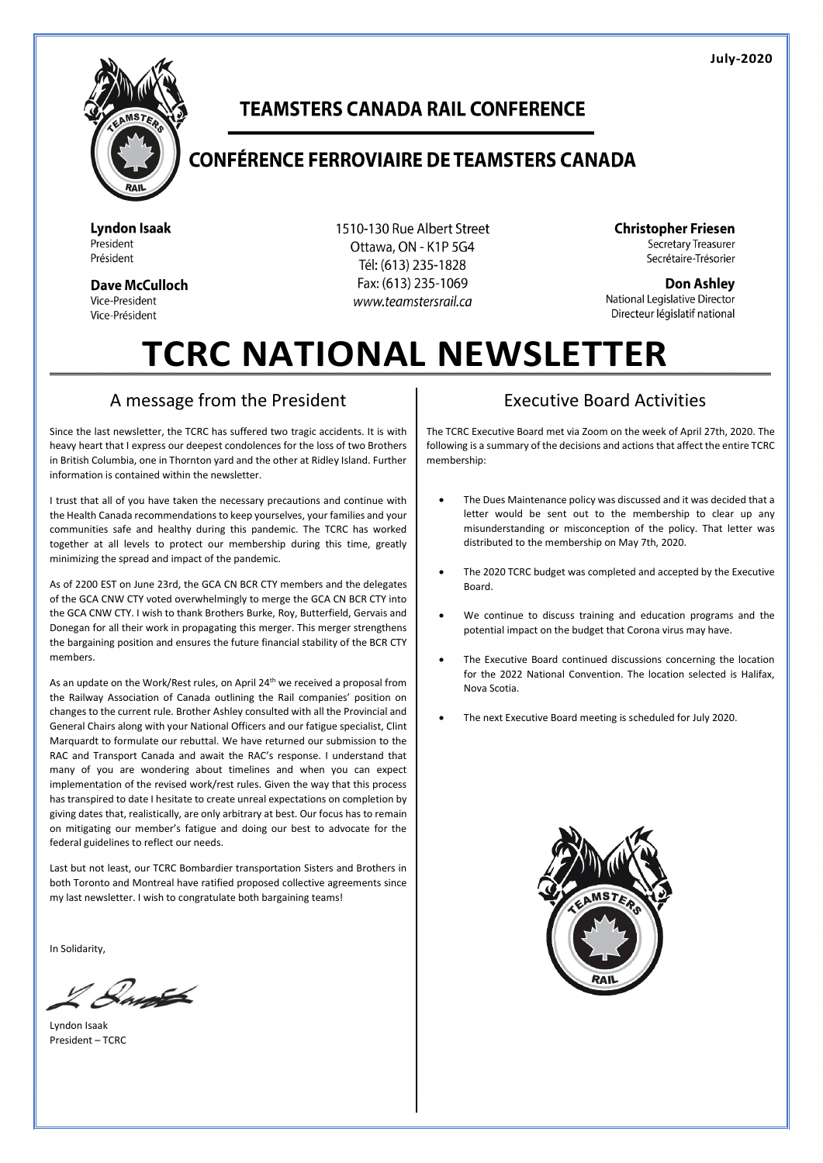

## **TEAMSTERS CANADA RAIL CONFERENCE**

## **CONFÉRENCE FERROVIAIRE DE TEAMSTERS CANADA**

**Lyndon Isaak** President Président

**Dave McCulloch** Vice-President Vice-Président

1510-130 Rue Albert Street Ottawa, ON - K1P 5G4 Tél: (613) 235-1828 Fax: (613) 235-1069 www.teamstersrail.ca

**Christopher Friesen** Secretary Treasurer Secrétaire-Trésorier

**Don Ashlev** National Legislative Director Directeur législatif national

# TCRC NATIONAL NEWSLETTER

#### A message from the President

Since the last newsletter, the TCRC has suffered two tragic accidents. It is with heavy heart that I express our deepest condolences for the loss of two Brothers in British Columbia, one in Thornton yard and the other at Ridley Island. Further information is contained within the newsletter.

I trust that all of you have taken the necessary precautions and continue with the Health Canada recommendations to keep yourselves, your families and your communities safe and healthy during this pandemic. The TCRC has worked together at all levels to protect our membership during this time, greatly minimizing the spread and impact of the pandemic.

As of 2200 EST on June 23rd, the GCA CN BCR CTY members and the delegates of the GCA CNW CTY voted overwhelmingly to merge the GCA CN BCR CTY into the GCA CNW CTY. I wish to thank Brothers Burke, Roy, Butterfield, Gervais and Donegan for all their work in propagating this merger. This merger strengthens the bargaining position and ensures the future financial stability of the BCR CTY members.

As an update on the Work/Rest rules, on April 24<sup>th</sup> we received a proposal from the Railway Association of Canada outlining the Rail companies' position on changes to the current rule. Brother Ashley consulted with all the Provincial and General Chairs along with your National Officers and our fatigue specialist, Clint Marquardt to formulate our rebuttal. We have returned our submission to the RAC and Transport Canada and await the RAC's response. I understand that many of you are wondering about timelines and when you can expect implementation of the revised work/rest rules. Given the way that this process has transpired to date I hesitate to create unreal expectations on completion by giving dates that, realistically, are only arbitrary at best. Our focus has to remain on mitigating our member's fatigue and doing our best to advocate for the federal guidelines to reflect our needs.

Last but not least, our TCRC Bombardier transportation Sisters and Brothers in both Toronto and Montreal have ratified proposed collective agreements since my last newsletter. I wish to congratulate both bargaining teams!

In Solidarity,

 $\mathcal{Q}_{\mu\nu}$ 

Lyndon Isaak President – TCRC

#### Executive Board Activities

The TCRC Executive Board met via Zoom on the week of April 27th, 2020. The following is a summary of the decisions and actions that affect the entire TCRC membership:

- The Dues Maintenance policy was discussed and it was decided that a letter would be sent out to the membership to clear up any misunderstanding or misconception of the policy. That letter was distributed to the membership on May 7th, 2020.
- The 2020 TCRC budget was completed and accepted by the Executive Board.
- We continue to discuss training and education programs and the potential impact on the budget that Corona virus may have.
- The Executive Board continued discussions concerning the location for the 2022 National Convention. The location selected is Halifax, Nova Scotia.
- The next Executive Board meeting is scheduled for July 2020.